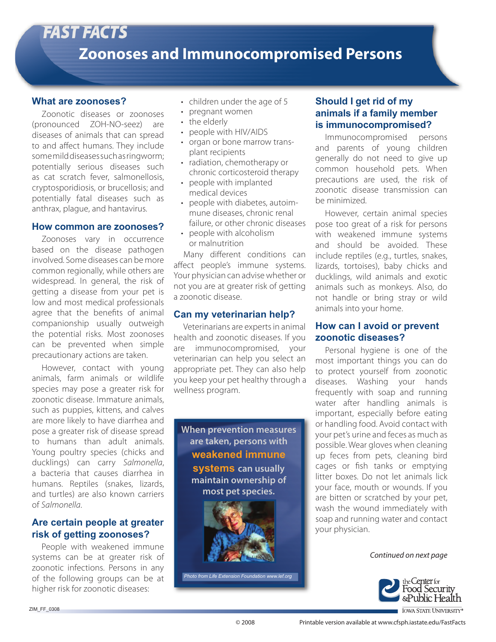#### **What are zoonoses?**

Zoonotic diseases or zoonoses (pronounced ZOH-NO-seez) are diseases of animals that can spread to and affect humans. They include some mild diseases such as ringworm; potentially serious diseases such as cat scratch fever, salmonellosis, cryptosporidiosis, or brucellosis; and potentially fatal diseases such as anthrax, plague, and hantavirus.

#### **How common are zoonoses?**

Zoonoses vary in occurrence based on the disease pathogen involved. Some diseases can be more common regionally, while others are widespread. In general, the risk of getting a disease from your pet is low and most medical professionals agree that the benefits of animal companionship usually outweigh the potential risks. Most zoonoses can be prevented when simple precautionary actions are taken.

However, contact with young animals, farm animals or wildlife species may pose a greater risk for zoonotic disease. Immature animals, such as puppies, kittens, and calves are more likely to have diarrhea and pose a greater risk of disease spread to humans than adult animals. Young poultry species (chicks and ducklings) can carry *Salmonella*, a bacteria that causes diarrhea in humans. Reptiles (snakes, lizards, and turtles) are also known carriers of *Salmonella*.

## **Are certain people at greater risk of getting zoonoses?**

People with weakened immune systems can be at greater risk of zoonotic infections. Persons in any of the following groups can be at higher risk for zoonotic diseases:

- children under the age of 5
- pregnant women
- the elderly
- people with HIV/AIDS
- organ or bone marrow transplant recipients
- radiation, chemotherapy or chronic corticosteroid therapy
- people with implanted medical devices
- people with diabetes, autoimmune diseases, chronic renal failure, or other chronic diseases
- people with alcoholism or malnutrition

Many different conditions can affect people's immune systems. Your physician can advise whether or not you are at greater risk of getting a zoonotic disease.

## **Can my veterinarian help?**

Veterinarians are experts in animal health and zoonotic diseases. If you are immunocompromised, your veterinarian can help you select an appropriate pet. They can also help you keep your pet healthy through a wellness program.



*Photo from Life Extension Foundation www.lef.org*

# **Should I get rid of my animals if a family member is immunocompromised?**

Immunocompromised persons and parents of young children generally do not need to give up common household pets. When precautions are used, the risk of zoonotic disease transmission can be minimized.

However, certain animal species pose too great of a risk for persons with weakened immune systems and should be avoided. These include reptiles (e.g., turtles, snakes, lizards, tortoises), baby chicks and ducklings, wild animals and exotic animals such as monkeys. Also, do not handle or bring stray or wild animals into your home.

## **How can I avoid or prevent zoonotic diseases?**

Personal hygiene is one of the most important things you can do to protect yourself from zoonotic diseases. Washing your hands frequently with soap and running water after handling animals is important, especially before eating or handling food. Avoid contact with your pet's urine and feces as much as y possible. Wear gloves when cleaning up feces from pets, cleaning bird cages or fish tanks or emptying litter boxes. Do not let animals lick your face, mouth or wounds. If you y are bitten or scratched by your pet, wash the wound immediately with soap and running water and contact your physician. y

*Continued on next page*